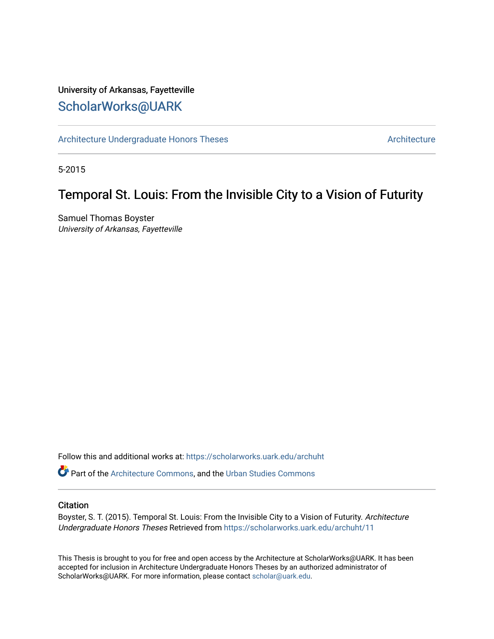# University of Arkansas, Fayetteville [ScholarWorks@UARK](https://scholarworks.uark.edu/)

[Architecture Undergraduate Honors Theses](https://scholarworks.uark.edu/archuht) [Architecture](https://scholarworks.uark.edu/arch) Architecture

5-2015

# Temporal St. Louis: From the Invisible City to a Vision of Futurity

Samuel Thomas Boyster University of Arkansas, Fayetteville

Follow this and additional works at: [https://scholarworks.uark.edu/archuht](https://scholarworks.uark.edu/archuht?utm_source=scholarworks.uark.edu%2Farchuht%2F11&utm_medium=PDF&utm_campaign=PDFCoverPages) 

Part of the [Architecture Commons,](http://network.bepress.com/hgg/discipline/773?utm_source=scholarworks.uark.edu%2Farchuht%2F11&utm_medium=PDF&utm_campaign=PDFCoverPages) and the [Urban Studies Commons](http://network.bepress.com/hgg/discipline/402?utm_source=scholarworks.uark.edu%2Farchuht%2F11&utm_medium=PDF&utm_campaign=PDFCoverPages) 

#### **Citation**

Boyster, S. T. (2015). Temporal St. Louis: From the Invisible City to a Vision of Futurity. Architecture Undergraduate Honors Theses Retrieved from [https://scholarworks.uark.edu/archuht/11](https://scholarworks.uark.edu/archuht/11?utm_source=scholarworks.uark.edu%2Farchuht%2F11&utm_medium=PDF&utm_campaign=PDFCoverPages)

This Thesis is brought to you for free and open access by the Architecture at ScholarWorks@UARK. It has been accepted for inclusion in Architecture Undergraduate Honors Theses by an authorized administrator of ScholarWorks@UARK. For more information, please contact [scholar@uark.edu](mailto:scholar@uark.edu).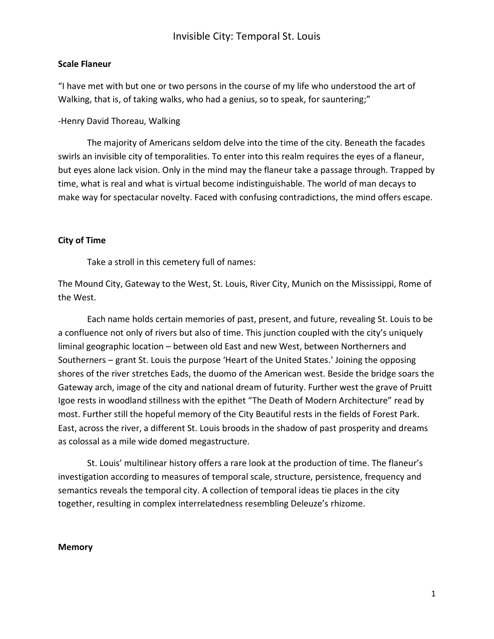### **Scale Flaneur**

"I have met with but one or two persons in the course of my life who understood the art of Walking, that is, of taking walks, who had a genius, so to speak, for sauntering;"

### -Henry David Thoreau, Walking

The majority of Americans seldom delve into the time of the city. Beneath the facades swirls an invisible city of temporalities. To enter into this realm requires the eyes of a flaneur, but eyes alone lack vision. Only in the mind may the flaneur take a passage through. Trapped by time, what is real and what is virtual become indistinguishable. The world of man decays to make way for spectacular novelty. Faced with confusing contradictions, the mind offers escape.

## **City of Time**

Take a stroll in this cemetery full of names:

The Mound City, Gateway to the West, St. Louis, River City, Munich on the Mississippi, Rome of the West.

Each name holds certain memories of past, present, and future, revealing St. Louis to be a confluence not only of rivers but also of time. This junction coupled with the city's uniquely liminal geographic location – between old East and new West, between Northerners and Southerners – grant St. Louis the purpose 'Heart of the United States.' Joining the opposing shores of the river stretches Eads, the duomo of the American west. Beside the bridge soars the Gateway arch, image of the city and national dream of futurity. Further west the grave of Pruitt Igoe rests in woodland stillness with the epithet "The Death of Modern Architecture" read by most. Further still the hopeful memory of the City Beautiful rests in the fields of Forest Park. East, across the river, a different St. Louis broods in the shadow of past prosperity and dreams as colossal as a mile wide domed megastructure.

St. Louis' multilinear history offers a rare look at the production of time. The flaneur's investigation according to measures of temporal scale, structure, persistence, frequency and semantics reveals the temporal city. A collection of temporal ideas tie places in the city together, resulting in complex interrelatedness resembling Deleuze's rhizome.

#### **Memory**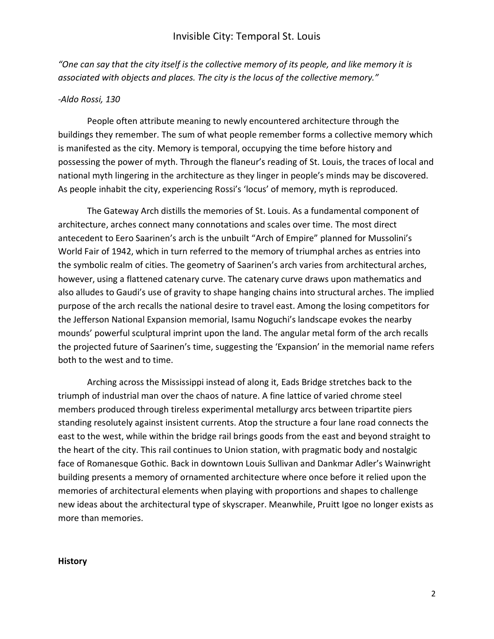*"One can say that the city itself is the collective memory of its people, and like memory it is associated with objects and places. The city is the locus of the collective memory."*

#### *-Aldo Rossi, 130*

People often attribute meaning to newly encountered architecture through the buildings they remember. The sum of what people remember forms a collective memory which is manifested as the city. Memory is temporal, occupying the time before history and possessing the power of myth. Through the flaneur's reading of St. Louis, the traces of local and national myth lingering in the architecture as they linger in people's minds may be discovered. As people inhabit the city, experiencing Rossi's 'locus' of memory, myth is reproduced.

The Gateway Arch distills the memories of St. Louis. As a fundamental component of architecture, arches connect many connotations and scales over time. The most direct antecedent to Eero Saarinen's arch is the unbuilt "Arch of Empire" planned for Mussolini's World Fair of 1942, which in turn referred to the memory of triumphal arches as entries into the symbolic realm of cities. The geometry of Saarinen's arch varies from architectural arches, however, using a flattened catenary curve. The catenary curve draws upon mathematics and also alludes to Gaudi's use of gravity to shape hanging chains into structural arches. The implied purpose of the arch recalls the national desire to travel east. Among the losing competitors for the Jefferson National Expansion memorial, Isamu Noguchi's landscape evokes the nearby mounds' powerful sculptural imprint upon the land. The angular metal form of the arch recalls the projected future of Saarinen's time, suggesting the 'Expansion' in the memorial name refers both to the west and to time.

Arching across the Mississippi instead of along it, Eads Bridge stretches back to the triumph of industrial man over the chaos of nature. A fine lattice of varied chrome steel members produced through tireless experimental metallurgy arcs between tripartite piers standing resolutely against insistent currents. Atop the structure a four lane road connects the east to the west, while within the bridge rail brings goods from the east and beyond straight to the heart of the city. This rail continues to Union station, with pragmatic body and nostalgic face of Romanesque Gothic. Back in downtown Louis Sullivan and Dankmar Adler's Wainwright building presents a memory of ornamented architecture where once before it relied upon the memories of architectural elements when playing with proportions and shapes to challenge new ideas about the architectural type of skyscraper. Meanwhile, Pruitt Igoe no longer exists as more than memories.

#### **History**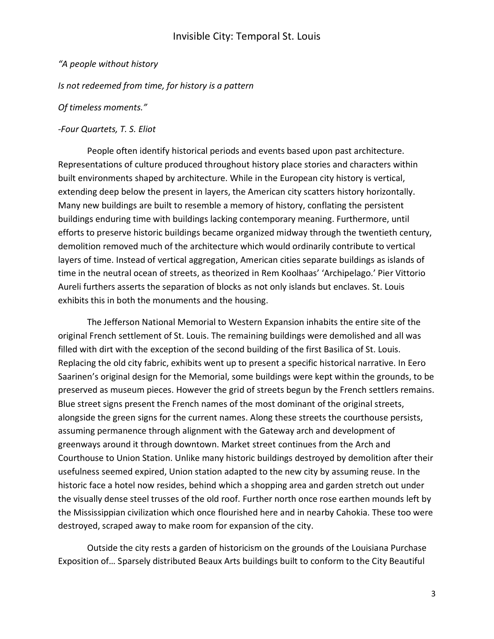### *"A people without history*

*Is not redeemed from time, for history is a pattern*

### *Of timeless moments."*

#### *-Four Quartets, T. S. Eliot*

People often identify historical periods and events based upon past architecture. Representations of culture produced throughout history place stories and characters within built environments shaped by architecture. While in the European city history is vertical, extending deep below the present in layers, the American city scatters history horizontally. Many new buildings are built to resemble a memory of history, conflating the persistent buildings enduring time with buildings lacking contemporary meaning. Furthermore, until efforts to preserve historic buildings became organized midway through the twentieth century, demolition removed much of the architecture which would ordinarily contribute to vertical layers of time. Instead of vertical aggregation, American cities separate buildings as islands of time in the neutral ocean of streets, as theorized in Rem Koolhaas' 'Archipelago.' Pier Vittorio Aureli furthers asserts the separation of blocks as not only islands but enclaves. St. Louis exhibits this in both the monuments and the housing.

The Jefferson National Memorial to Western Expansion inhabits the entire site of the original French settlement of St. Louis. The remaining buildings were demolished and all was filled with dirt with the exception of the second building of the first Basilica of St. Louis. Replacing the old city fabric, exhibits went up to present a specific historical narrative. In Eero Saarinen's original design for the Memorial, some buildings were kept within the grounds, to be preserved as museum pieces. However the grid of streets begun by the French settlers remains. Blue street signs present the French names of the most dominant of the original streets, alongside the green signs for the current names. Along these streets the courthouse persists, assuming permanence through alignment with the Gateway arch and development of greenways around it through downtown. Market street continues from the Arch and Courthouse to Union Station. Unlike many historic buildings destroyed by demolition after their usefulness seemed expired, Union station adapted to the new city by assuming reuse. In the historic face a hotel now resides, behind which a shopping area and garden stretch out under the visually dense steel trusses of the old roof. Further north once rose earthen mounds left by the Mississippian civilization which once flourished here and in nearby Cahokia. These too were destroyed, scraped away to make room for expansion of the city.

Outside the city rests a garden of historicism on the grounds of the Louisiana Purchase Exposition of… Sparsely distributed Beaux Arts buildings built to conform to the City Beautiful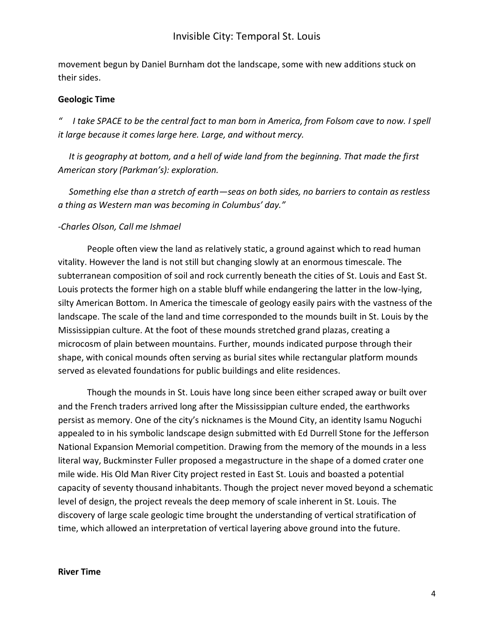movement begun by Daniel Burnham dot the landscape, some with new additions stuck on their sides.

### **Geologic Time**

*" I take SPACE to be the central fact to man born in America, from Folsom cave to now. I spell it large because it comes large here. Large, and without mercy.* 

 *It is geography at bottom, and a hell of wide land from the beginning. That made the first American story (Parkman's): exploration.*

 *Something else than a stretch of earth—seas on both sides, no barriers to contain as restless a thing as Western man was becoming in Columbus' day."*

#### *-Charles Olson, Call me Ishmael*

People often view the land as relatively static, a ground against which to read human vitality. However the land is not still but changing slowly at an enormous timescale. The subterranean composition of soil and rock currently beneath the cities of St. Louis and East St. Louis protects the former high on a stable bluff while endangering the latter in the low-lying, silty American Bottom. In America the timescale of geology easily pairs with the vastness of the landscape. The scale of the land and time corresponded to the mounds built in St. Louis by the Mississippian culture. At the foot of these mounds stretched grand plazas, creating a microcosm of plain between mountains. Further, mounds indicated purpose through their shape, with conical mounds often serving as burial sites while rectangular platform mounds served as elevated foundations for public buildings and elite residences.

Though the mounds in St. Louis have long since been either scraped away or built over and the French traders arrived long after the Mississippian culture ended, the earthworks persist as memory. One of the city's nicknames is the Mound City, an identity Isamu Noguchi appealed to in his symbolic landscape design submitted with Ed Durrell Stone for the Jefferson National Expansion Memorial competition. Drawing from the memory of the mounds in a less literal way, Buckminster Fuller proposed a megastructure in the shape of a domed crater one mile wide. His Old Man River City project rested in East St. Louis and boasted a potential capacity of seventy thousand inhabitants. Though the project never moved beyond a schematic level of design, the project reveals the deep memory of scale inherent in St. Louis. The discovery of large scale geologic time brought the understanding of vertical stratification of time, which allowed an interpretation of vertical layering above ground into the future.

#### **River Time**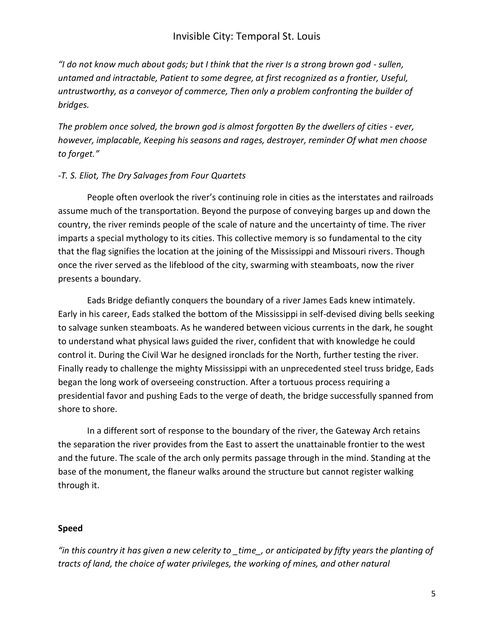"I do not know much about gods; but I think that the river Is a strong brown god - sullen, *untamed and intractable, Patient to some degree, at first recognized as a frontier, Useful, untrustworthy, as a conveyor of commerce, Then only a problem confronting the builder of bridges.*

*The problem once solved, the brown god is almost forgotten By the dwellers of cities - ever, however, implacable, Keeping his seasons and rages, destroyer, reminder Of what men choose to forget."*

## *-T. S. Eliot, The Dry Salvages from Four Quartets*

People often overlook the river's continuing role in cities as the interstates and railroads assume much of the transportation. Beyond the purpose of conveying barges up and down the country, the river reminds people of the scale of nature and the uncertainty of time. The river imparts a special mythology to its cities. This collective memory is so fundamental to the city that the flag signifies the location at the joining of the Mississippi and Missouri rivers. Though once the river served as the lifeblood of the city, swarming with steamboats, now the river presents a boundary.

Eads Bridge defiantly conquers the boundary of a river James Eads knew intimately. Early in his career, Eads stalked the bottom of the Mississippi in self-devised diving bells seeking to salvage sunken steamboats. As he wandered between vicious currents in the dark, he sought to understand what physical laws guided the river, confident that with knowledge he could control it. During the Civil War he designed ironclads for the North, further testing the river. Finally ready to challenge the mighty Mississippi with an unprecedented steel truss bridge, Eads began the long work of overseeing construction. After a tortuous process requiring a presidential favor and pushing Eads to the verge of death, the bridge successfully spanned from shore to shore.

In a different sort of response to the boundary of the river, the Gateway Arch retains the separation the river provides from the East to assert the unattainable frontier to the west and the future. The scale of the arch only permits passage through in the mind. Standing at the base of the monument, the flaneur walks around the structure but cannot register walking through it.

## **Speed**

*"in this country it has given a new celerity to \_time\_, or anticipated by fifty years the planting of tracts of land, the choice of water privileges, the working of mines, and other natural*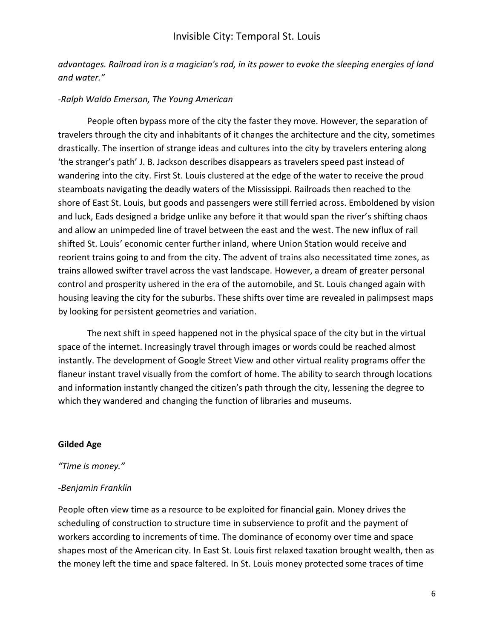*advantages. Railroad iron is a magician's rod, in its power to evoke the sleeping energies of land and water."*

### *-Ralph Waldo Emerson, The Young American*

People often bypass more of the city the faster they move. However, the separation of travelers through the city and inhabitants of it changes the architecture and the city, sometimes drastically. The insertion of strange ideas and cultures into the city by travelers entering along 'the stranger's path' J. B. Jackson describes disappears as travelers speed past instead of wandering into the city. First St. Louis clustered at the edge of the water to receive the proud steamboats navigating the deadly waters of the Mississippi. Railroads then reached to the shore of East St. Louis, but goods and passengers were still ferried across. Emboldened by vision and luck, Eads designed a bridge unlike any before it that would span the river's shifting chaos and allow an unimpeded line of travel between the east and the west. The new influx of rail shifted St. Louis' economic center further inland, where Union Station would receive and reorient trains going to and from the city. The advent of trains also necessitated time zones, as trains allowed swifter travel across the vast landscape. However, a dream of greater personal control and prosperity ushered in the era of the automobile, and St. Louis changed again with housing leaving the city for the suburbs. These shifts over time are revealed in palimpsest maps by looking for persistent geometries and variation.

The next shift in speed happened not in the physical space of the city but in the virtual space of the internet. Increasingly travel through images or words could be reached almost instantly. The development of Google Street View and other virtual reality programs offer the flaneur instant travel visually from the comfort of home. The ability to search through locations and information instantly changed the citizen's path through the city, lessening the degree to which they wandered and changing the function of libraries and museums.

#### **Gilded Age**

### *"Time is money."*

### *-Benjamin Franklin*

People often view time as a resource to be exploited for financial gain. Money drives the scheduling of construction to structure time in subservience to profit and the payment of workers according to increments of time. The dominance of economy over time and space shapes most of the American city. In East St. Louis first relaxed taxation brought wealth, then as the money left the time and space faltered. In St. Louis money protected some traces of time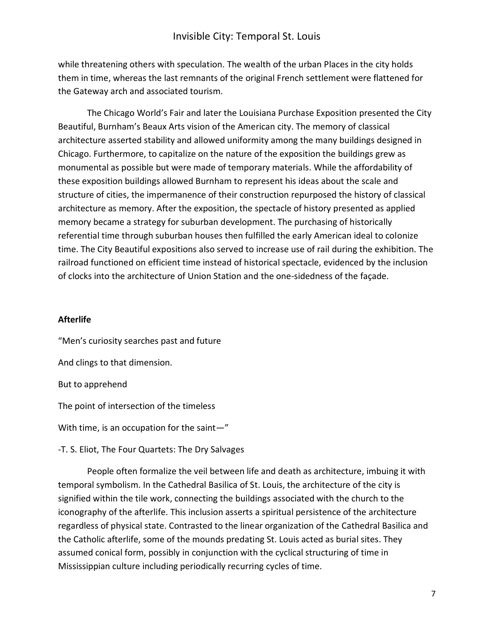while threatening others with speculation. The wealth of the urban Places in the city holds them in time, whereas the last remnants of the original French settlement were flattened for the Gateway arch and associated tourism.

The Chicago World's Fair and later the Louisiana Purchase Exposition presented the City Beautiful, Burnham's Beaux Arts vision of the American city. The memory of classical architecture asserted stability and allowed uniformity among the many buildings designed in Chicago. Furthermore, to capitalize on the nature of the exposition the buildings grew as monumental as possible but were made of temporary materials. While the affordability of these exposition buildings allowed Burnham to represent his ideas about the scale and structure of cities, the impermanence of their construction repurposed the history of classical architecture as memory. After the exposition, the spectacle of history presented as applied memory became a strategy for suburban development. The purchasing of historically referential time through suburban houses then fulfilled the early American ideal to colonize time. The City Beautiful expositions also served to increase use of rail during the exhibition. The railroad functioned on efficient time instead of historical spectacle, evidenced by the inclusion of clocks into the architecture of Union Station and the one-sidedness of the façade.

### **Afterlife**

"Men's curiosity searches past and future And clings to that dimension. But to apprehend

The point of intersection of the timeless

With time, is an occupation for the saint—"

-T. S. Eliot, The Four Quartets: The Dry Salvages

People often formalize the veil between life and death as architecture, imbuing it with temporal symbolism. In the Cathedral Basilica of St. Louis, the architecture of the city is signified within the tile work, connecting the buildings associated with the church to the iconography of the afterlife. This inclusion asserts a spiritual persistence of the architecture regardless of physical state. Contrasted to the linear organization of the Cathedral Basilica and the Catholic afterlife, some of the mounds predating St. Louis acted as burial sites. They assumed conical form, possibly in conjunction with the cyclical structuring of time in Mississippian culture including periodically recurring cycles of time.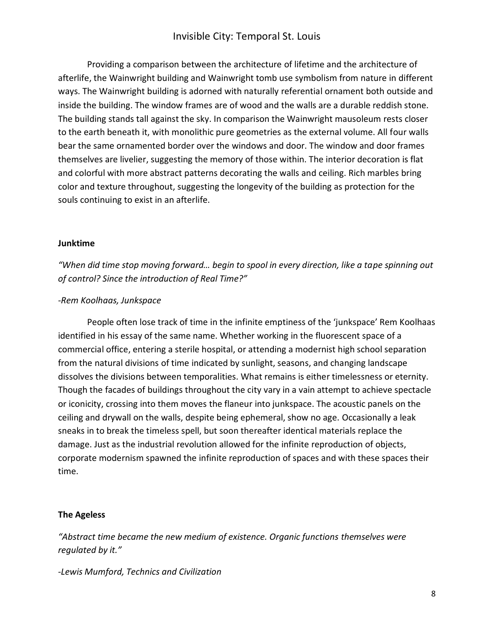Providing a comparison between the architecture of lifetime and the architecture of afterlife, the Wainwright building and Wainwright tomb use symbolism from nature in different ways. The Wainwright building is adorned with naturally referential ornament both outside and inside the building. The window frames are of wood and the walls are a durable reddish stone. The building stands tall against the sky. In comparison the Wainwright mausoleum rests closer to the earth beneath it, with monolithic pure geometries as the external volume. All four walls bear the same ornamented border over the windows and door. The window and door frames themselves are livelier, suggesting the memory of those within. The interior decoration is flat and colorful with more abstract patterns decorating the walls and ceiling. Rich marbles bring color and texture throughout, suggesting the longevity of the building as protection for the souls continuing to exist in an afterlife.

#### **Junktime**

## *"When did time stop moving forward… begin to spool in every direction, like a tape spinning out of control? Since the introduction of Real Time?"*

#### *-Rem Koolhaas, Junkspace*

People often lose track of time in the infinite emptiness of the 'junkspace' Rem Koolhaas identified in his essay of the same name. Whether working in the fluorescent space of a commercial office, entering a sterile hospital, or attending a modernist high school separation from the natural divisions of time indicated by sunlight, seasons, and changing landscape dissolves the divisions between temporalities. What remains is either timelessness or eternity. Though the facades of buildings throughout the city vary in a vain attempt to achieve spectacle or iconicity, crossing into them moves the flaneur into junkspace. The acoustic panels on the ceiling and drywall on the walls, despite being ephemeral, show no age. Occasionally a leak sneaks in to break the timeless spell, but soon thereafter identical materials replace the damage. Just as the industrial revolution allowed for the infinite reproduction of objects, corporate modernism spawned the infinite reproduction of spaces and with these spaces their time.

#### **The Ageless**

*"Abstract time became the new medium of existence. Organic functions themselves were regulated by it."*

*-Lewis Mumford, Technics and Civilization*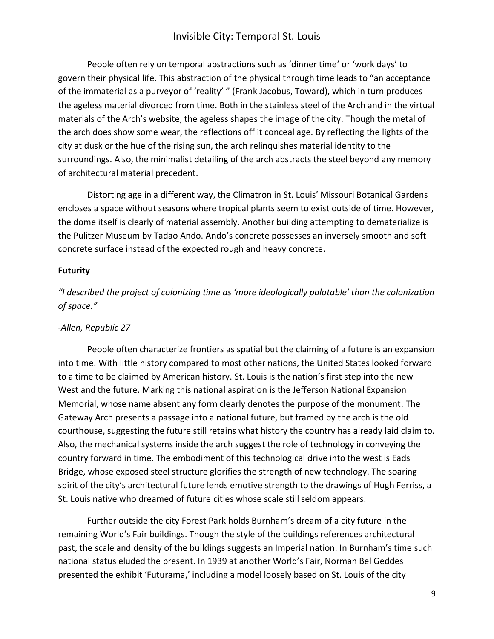People often rely on temporal abstractions such as 'dinner time' or 'work days' to govern their physical life. This abstraction of the physical through time leads to "an acceptance of the immaterial as a purveyor of 'reality' " (Frank Jacobus, Toward), which in turn produces the ageless material divorced from time. Both in the stainless steel of the Arch and in the virtual materials of the Arch's website, the ageless shapes the image of the city. Though the metal of the arch does show some wear, the reflections off it conceal age. By reflecting the lights of the city at dusk or the hue of the rising sun, the arch relinquishes material identity to the surroundings. Also, the minimalist detailing of the arch abstracts the steel beyond any memory of architectural material precedent.

Distorting age in a different way, the Climatron in St. Louis' Missouri Botanical Gardens encloses a space without seasons where tropical plants seem to exist outside of time. However, the dome itself is clearly of material assembly. Another building attempting to dematerialize is the Pulitzer Museum by Tadao Ando. Ando's concrete possesses an inversely smooth and soft concrete surface instead of the expected rough and heavy concrete.

#### **Futurity**

*"I described the project of colonizing time as 'more ideologically palatable' than the colonization of space."*

### *-Allen, Republic 27*

People often characterize frontiers as spatial but the claiming of a future is an expansion into time. With little history compared to most other nations, the United States looked forward to a time to be claimed by American history. St. Louis is the nation's first step into the new West and the future. Marking this national aspiration is the Jefferson National Expansion Memorial, whose name absent any form clearly denotes the purpose of the monument. The Gateway Arch presents a passage into a national future, but framed by the arch is the old courthouse, suggesting the future still retains what history the country has already laid claim to. Also, the mechanical systems inside the arch suggest the role of technology in conveying the country forward in time. The embodiment of this technological drive into the west is Eads Bridge, whose exposed steel structure glorifies the strength of new technology. The soaring spirit of the city's architectural future lends emotive strength to the drawings of Hugh Ferriss, a St. Louis native who dreamed of future cities whose scale still seldom appears.

Further outside the city Forest Park holds Burnham's dream of a city future in the remaining World's Fair buildings. Though the style of the buildings references architectural past, the scale and density of the buildings suggests an Imperial nation. In Burnham's time such national status eluded the present. In 1939 at another World's Fair, Norman Bel Geddes presented the exhibit 'Futurama,' including a model loosely based on St. Louis of the city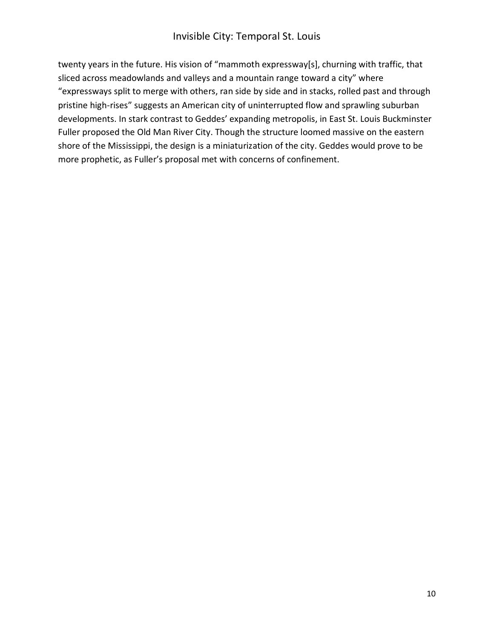twenty years in the future. His vision of "mammoth expressway[s], churning with traffic, that sliced across meadowlands and valleys and a mountain range toward a city" where "expressways split to merge with others, ran side by side and in stacks, rolled past and through pristine high-rises" suggests an American city of uninterrupted flow and sprawling suburban developments. In stark contrast to Geddes' expanding metropolis, in East St. Louis Buckminster Fuller proposed the Old Man River City. Though the structure loomed massive on the eastern shore of the Mississippi, the design is a miniaturization of the city. Geddes would prove to be more prophetic, as Fuller's proposal met with concerns of confinement.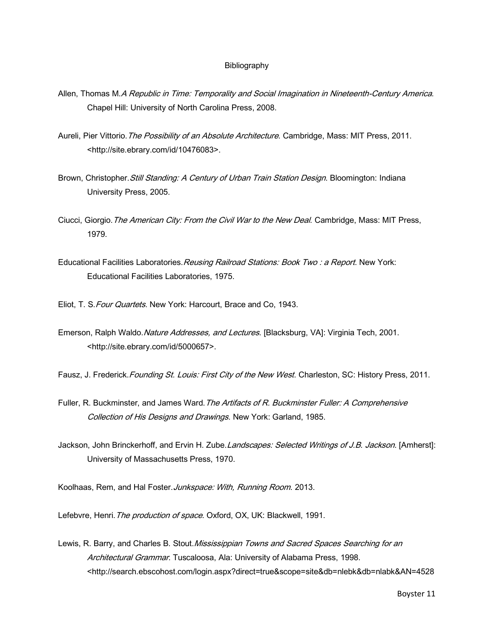#### Bibliography

- Allen, Thomas M.A Republic in Time: Temporality and Social Imagination in Nineteenth-Century America. Chapel Hill: University of North Carolina Press, 2008.
- Aureli, Pier Vittorio. The Possibility of an Absolute Architecture. Cambridge, Mass: MIT Press, 2011. <http://site.ebrary.com/id/10476083>.
- Brown, Christopher. Still Standing: A Century of Urban Train Station Design. Bloomington: Indiana University Press, 2005.
- Ciucci, Giorgio. The American City: From the Civil War to the New Deal. Cambridge, Mass: MIT Press, 1979.
- Educational Facilities Laboratories. Reusing Railroad Stations: Book Two: a Report. New York: Educational Facilities Laboratories, 1975.
- Eliot, T. S. Four Quartets. New York: Harcourt, Brace and Co, 1943.
- Emerson, Ralph Waldo. Nature Addresses, and Lectures. [Blacksburg, VA]: Virginia Tech, 2001. <http://site.ebrary.com/id/5000657>.
- Fausz, J. Frederick. Founding St. Louis: First City of the New West. Charleston, SC: History Press, 2011.
- Fuller, R. Buckminster, and James Ward. The Artifacts of R. Buckminster Fuller: A Comprehensive Collection of His Designs and Drawings. New York: Garland, 1985.
- Jackson, John Brinckerhoff, and Ervin H. Zube. Landscapes: Selected Writings of J.B. Jackson. [Amherst]: University of Massachusetts Press, 1970.

Koolhaas, Rem, and Hal Foster. Junkspace: With, Running Room. 2013.

Lefebvre, Henri. The production of space. Oxford, OX, UK: Blackwell, 1991.

Lewis, R. Barry, and Charles B. Stout. Mississippian Towns and Sacred Spaces Searching for an Architectural Grammar. Tuscaloosa, Ala: University of Alabama Press, 1998. <http://search.ebscohost.com/login.aspx?direct=true&scope=site&db=nlebk&db=nlabk&AN=4528

Boyster 11